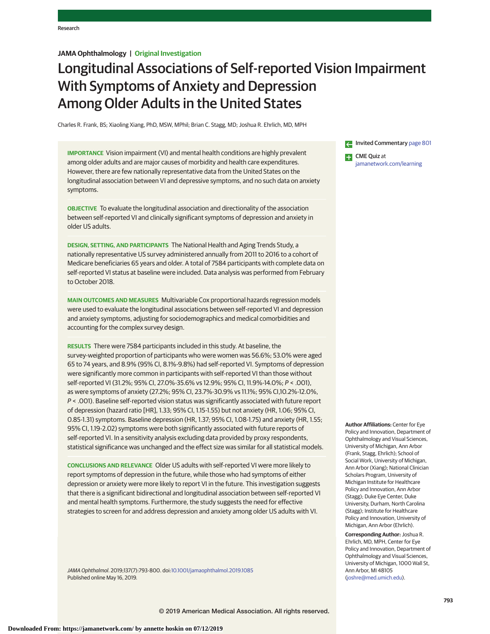# **JAMA Ophthalmology | Original Investigation**

# Longitudinal Associations of Self-reported Vision Impairment With Symptoms of Anxiety and Depression Among Older Adults in the United States

Charles R. Frank, BS; Xiaoling Xiang, PhD, MSW, MPhil; Brian C. Stagg, MD; Joshua R. Ehrlich, MD, MPH

**IMPORTANCE** Vision impairment (VI) and mental health conditions are highly prevalent among older adults and are major causes of morbidity and health care expenditures. However, there are few nationally representative data from the United States on the longitudinal association between VI and depressive symptoms, and no such data on anxiety symptoms.

**OBJECTIVE** To evaluate the longitudinal association and directionality of the association between self-reported VI and clinically significant symptoms of depression and anxiety in older US adults.

**DESIGN, SETTING, AND PARTICIPANTS** The National Health and Aging Trends Study, a nationally representative US survey administered annually from 2011 to 2016 to a cohort of Medicare beneficiaries 65 years and older. A total of 7584 participants with complete data on self-reported VI status at baseline were included. Data analysis was performed from February to October 2018.

**MAIN OUTCOMES AND MEASURES** Multivariable Cox proportional hazards regression models were used to evaluate the longitudinal associations between self-reported VI and depression and anxiety symptoms, adjusting for sociodemographics and medical comorbidities and accounting for the complex survey design.

**RESULTS** There were 7584 participants included in this study. At baseline, the survey-weighted proportion of participants who were women was 56.6%; 53.0% were aged 65 to 74 years, and 8.9% (95% CI, 8.1%-9.8%) had self-reported VI. Symptoms of depression were significantly more common in participants with self-reported VI than those without self-reported VI (31.2%; 95% CI, 27.0%-35.6% vs 12.9%; 95% CI, 11.9%-14.0%; P < .001), as were symptoms of anxiety (27.2%; 95% CI, 23.7%-30.9% vs 11.1%; 95% CI,10.2%-12.0%, P < .001). Baseline self-reported vision status was significantly associated with future report of depression (hazard ratio [HR], 1.33; 95% CI, 1.15-1.55) but not anxiety (HR, 1.06; 95% CI, 0.85-1.31) symptoms. Baseline depression (HR, 1.37; 95% CI, 1.08-1.75) and anxiety (HR, 1.55; 95% CI, 1.19-2.02) symptoms were both significantly associated with future reports of self-reported VI. In a sensitivity analysis excluding data provided by proxy respondents, statistical significance was unchanged and the effect size was similar for all statistical models.

**CONCLUSIONS AND RELEVANCE** Older US adults with self-reported VI were more likely to report symptoms of depression in the future, while those who had symptoms of either depression or anxiety were more likely to report VI in the future. This investigation suggests that there is a significant bidirectional and longitudinal association between self-reported VI and mental health symptoms. Furthermore, the study suggests the need for effective strategies to screen for and address depression and anxiety among older US adults with VI.

JAMA Ophthalmol. 2019;137(7):793-800. doi[:10.1001/jamaophthalmol.2019.1085](https://jama.jamanetwork.com/article.aspx?doi=10.1001/jamaophthalmol.2019.1085&utm_campaign=articlePDF%26utm_medium=articlePDFlink%26utm_source=articlePDF%26utm_content=jamaophthalmol.2019.1085) Published online May 16, 2019.

Invited Commentary [page 801](https://jama.jamanetwork.com/article.aspx?doi=10.1001/jamaophthalmol.2019.1084&utm_campaign=articlePDF%26utm_medium=articlePDFlink%26utm_source=articlePDF%26utm_content=jamaophthalmol.2019.1085) CME Quiz at [jamanetwork.com/learning](https://jama.jamanetwork.com/learning/article-quiz/?utm_campaign=articlePDF%26utm_medium=articlePDFlink%26utm_source=articlePDF%26utm_content=jamaophthalmol.2019.1085)

**Author Affiliations:** Center for Eye Policy and Innovation, Department of Ophthalmology and Visual Sciences, University of Michigan, Ann Arbor (Frank, Stagg, Ehrlich); School of Social Work, University of Michigan, Ann Arbor (Xiang); National Clinician Scholars Program, University of Michigan Institute for Healthcare Policy and Innovation, Ann Arbor (Stagg); Duke Eye Center, Duke University, Durham, North Carolina (Stagg); Institute for Healthcare Policy and Innovation, University of Michigan, Ann Arbor (Ehrlich).

**Corresponding Author:** Joshua R. Ehrlich, MD, MPH, Center for Eye Policy and Innovation, Department of Ophthalmology and Visual Sciences, University of Michigan, 1000 Wall St, Ann Arbor, MI 48105 [\(joshre@med.umich.edu\)](mailto:joshre@med.umich.edu).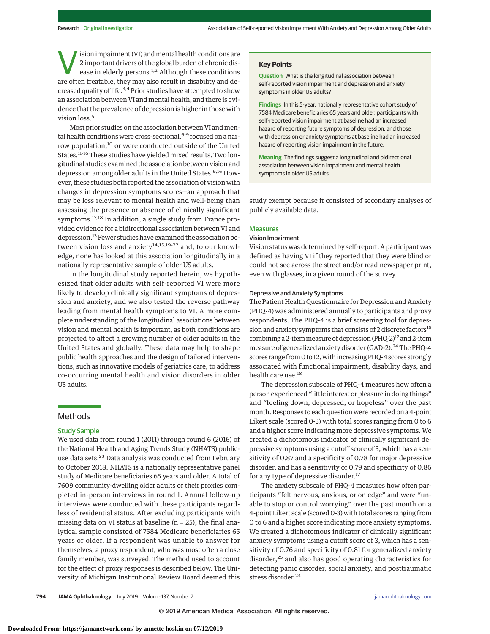ision impairment (VI) and mental health conditions are<br>
2 important drivers of the global burden of chronic dis-<br>
ease in elderly persons.<sup>1,2</sup> Although these conditions<br>
are often tratable, they may also result in disabil 2 important drivers of the global burden of chronic disare often treatable, they may also result in disability and decreased quality of life.3,4 Prior studies have attempted to show an association between VI and mental health, and there is evidence that the prevalence of depression is higher in those with vision loss.<sup>5</sup>

Most prior studies on the association between VI and mental health conditions were cross-sectional, <sup>6-9</sup> focused on a narrow population,<sup>10</sup> or were conducted outside of the United States.<sup>11-16</sup> These studies have yielded mixed results. Two longitudinal studies examined the association between vision and depression among older adults in the United States.<sup>9,16</sup> However, these studies both reported the association of vision with changes in depression symptoms scores—an approach that may be less relevant to mental health and well-being than assessing the presence or absence of clinically significant symptoms.17,18 In addition, a single study from France provided evidence for a bidirectional association between VI and depression.<sup>13</sup> Fewer studies have examined the association between vision loss and anxiety<sup>14,15,19-22</sup> and, to our knowledge, none has looked at this association longitudinally in a nationally representative sample of older US adults.

In the longitudinal study reported herein, we hypothesized that older adults with self-reported VI were more likely to develop clinically significant symptoms of depression and anxiety, and we also tested the reverse pathway leading from mental health symptoms to VI. A more complete understanding of the longitudinal associations between vision and mental health is important, as both conditions are projected to affect a growing number of older adults in the United States and globally. These data may help to shape public health approaches and the design of tailored interventions, such as innovative models of geriatrics care, to address co-occurring mental health and vision disorders in older US adults.

## Methods

# Study Sample

We used data from round 1 (2011) through round 6 (2016) of the National Health and Aging Trends Study (NHATS) publicuse data sets.<sup>23</sup> Data analysis was conducted from February to October 2018. NHATS is a nationally representative panel study of Medicare beneficiaries 65 years and older. A total of 7609 community-dwelling older adults or their proxies completed in-person interviews in round 1. Annual follow-up interviews were conducted with these participants regardless of residential status. After excluding participants with missing data on VI status at baseline (n = 25), the final analytical sample consisted of 7584 Medicare beneficiaries 65 years or older. If a respondent was unable to answer for themselves, a proxy respondent, who was most often a close family member, was surveyed. The method used to account for the effect of proxy responses is described below. The University of Michigan Institutional Review Board deemed this

## **Key Points**

**Question** What is the longitudinal association between self-reported vision impairment and depression and anxiety symptoms in older US adults?

**Findings** In this 5-year, nationally representative cohort study of 7584 Medicare beneficiaries 65 years and older, participants with self-reported vision impairment at baseline had an increased hazard of reporting future symptoms of depression, and those with depression or anxiety symptoms at baseline had an increased hazard of reporting vision impairment in the future.

**Meaning** The findings suggest a longitudinal and bidirectional association between vision impairment and mental health symptoms in older US adults.

study exempt because it consisted of secondary analyses of publicly available data.

## Measures

## Vision Impairment

Vision status was determined by self-report. A participant was defined as having VI if they reported that they were blind or could not see across the street and/or read newspaper print, even with glasses, in a given round of the survey.

#### Depressive and Anxiety Symptoms

The Patient Health Questionnaire for Depression and Anxiety (PHQ-4) was administered annually to participants and proxy respondents. The PHQ-4 is a brief screening tool for depression and anxiety symptoms that consists of 2 discrete factors<sup>18</sup> combining a 2-item measure of depression (PHQ-2)<sup>17</sup> and 2-item measure of generalized anxiety disorder (GAD-2).<sup>24</sup> The PHQ-4 scores range from 0 to 12, with increasing PHQ-4 scores strongly associated with functional impairment, disability days, and health care use.<sup>18</sup>

The depression subscale of PHQ-4 measures how often a person experienced "little interest or pleasure in doing things" and "feeling down, depressed, or hopeless" over the past month. Responses to each question were recorded on a 4-point Likert scale (scored 0-3) with total scores ranging from 0 to 6 and a higher score indicating more depressive symptoms. We created a dichotomous indicator of clinically significant depressive symptoms using a cutoff score of 3, which has a sensitivity of 0.87 and a specificity of 0.78 for major depressive disorder, and has a sensitivity of 0.79 and specificity of 0.86 for any type of depressive disorder.<sup>17</sup>

The anxiety subscale of PHQ-4 measures how often participants "felt nervous, anxious, or on edge" and were "unable to stop or control worrying" over the past month on a 4-point Likert scale (scored 0-3) with total scores ranging from 0 to 6 and a higher score indicating more anxiety symptoms. We created a dichotomous indicator of clinically significant anxiety symptoms using a cutoff score of 3, which has a sensitivity of 0.76 and specificity of 0.81 for generalized anxiety disorder,<sup>25</sup> and also has good operating characteristics for detecting panic disorder, social anxiety, and posttraumatic stress disorder.<sup>24</sup>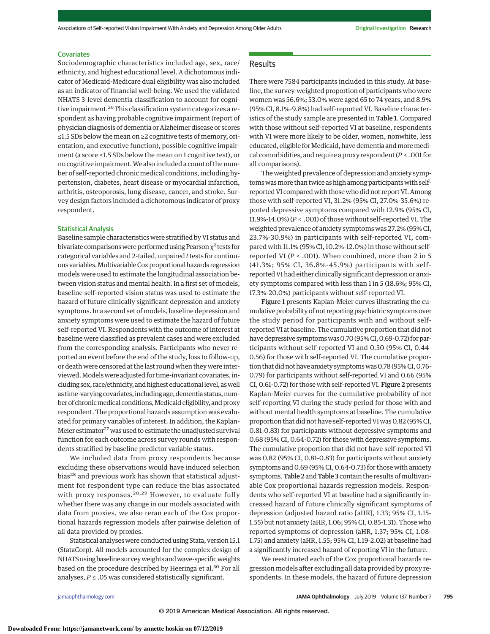## **Covariates**

Sociodemographic characteristics included age, sex, race/ ethnicity, and highest educational level. A dichotomous indicator of Medicaid-Medicare dual eligibility was also included as an indicator of financial well-being. We used the validated NHATS 3-level dementia classification to account for cognitive impairment.<sup>26</sup> This classification system categorizes a respondent as having probable cognitive impairment (report of physician diagnosis of dementia or Alzheimer disease or scores ≤1.5 SDs below the mean on ≥2 cognitive tests of memory, orientation, and executive function), possible cognitive impairment (a score ≤1.5 SDs below the mean on 1 cognitive test), or no cognitive impairment.We also included a count of the number of self-reported chronic medical conditions, including hypertension, diabetes, heart disease or myocardial infarction, arthritis, osteoporosis, lung disease, cancer, and stroke. Survey design factors included a dichotomous indicator of proxy respondent.

## Statistical Analysis

Baseline sample characteristics were stratified by VI status and bivariate comparisons were performed using Pearson  $\chi^2$  tests for categorical variables and 2-tailed, unpaired *t*tests for continuous variables.MultivariableCox proportionalhazards regression models were used to estimate the longitudinal association between vision status and mental health. In a first set of models, baseline self-reported vision status was used to estimate the hazard of future clinically significant depression and anxiety symptoms. In a second set of models, baseline depression and anxiety symptoms were used to estimate the hazard of future self-reported VI. Respondents with the outcome of interest at baseline were classified as prevalent cases and were excluded from the corresponding analysis. Participants who never reported an event before the end of the study, loss to follow-up, or death were censored at the last round when they were interviewed.Models were adjusted for time-invariant covariates, including sex, race/ethnicity, andhighest educational level, aswell as time-varying covariates, including age, dementia status, number of chronic medical conditions, Medicaid eligibility, and proxy respondent. The proportional hazards assumption was evaluated for primary variables of interest. In addition, the Kaplan-Meier estimator $27$  was used to estimate the unadjusted survival function for each outcome across survey rounds with respondents stratified by baseline predictor variable status.

We included data from proxy respondents because excluding these observations would have induced selection bias<sup>28</sup> and previous work has shown that statistical adjustment for respondent type can reduce the bias associated with proxy responses.<sup>28,29</sup> However, to evaluate fully whether there was any change in our models associated with data from proxies, we also reran each of the Cox proportional hazards regression models after pairwise deletion of all data provided by proxies.

Statistical analyseswere conducted using Stata, version 15.1 (StataCorp). All models accounted for the complex design of NHATS using baseline survey weights and wave-specific weights based on the procedure described by Heeringa et al.<sup>30</sup> For all analyses,  $P \leq .05$  was considered statistically significant.

## Results

There were 7584 participants included in this study. At baseline, the survey-weighted proportion of participants who were women was 56.6%; 53.0% were aged 65 to 74 years, and 8.9% (95% CI, 8.1%-9.8%) had self-reported VI. Baseline characteristics of the study sample are presented in Table 1. Compared with those without self-reported VI at baseline, respondents with VI were more likely to be older, women, nonwhite, less educated, eligible for Medicaid, have dementia and more medical comorbidities, and require a proxy respondent (*P* < .001 for all comparisons).

The weighted prevalence of depression and anxiety symptoms wasmore than twice as high among participants with selfreported VI compared with those who did not report VI. Among those with self-reported VI, 31.2% (95% CI, 27.0%-35.6%) reported depressive symptoms compared with 12.9% (95% CI, 11.9%-14.0%) (*P* < .001) of those without self-reported VI. The weighted prevalence of anxiety symptoms was 27.2% (95% CI, 23.7%-30.9%) in participants with self-reported VI, compared with 11.1% (95% CI, 10.2%-12.0%) in those without selfreported VI (*P* < .001). When combined, more than 2 in 5 (41.3%; 95% CI, 36.8%-45.9%) participants with selfreported VI had either clinically significant depression or anxiety symptoms compared with less than 1 in 5 (18.6%; 95% CI, 17.3%-20.0%) participants without self-reported VI.

Figure 1 presents Kaplan-Meier curves illustrating the cumulative probability of not reporting psychiatric symptoms over the study period for participants with and without selfreported VI at baseline. The cumulative proportion that did not have depressive symptoms was 0.70 (95% CI, 0.69-0.72) for participants without self-reported VI and 0.50 (95% CI, 0.44- 0.56) for those with self-reported VI. The cumulative proportion that did not have anxiety symptoms was 0.78 (95% CI, 0.76-0.79) for participants without self-reported VI and 0.66 (95% CI, 0.61-0.72) for those with self-reported VI. Figure 2 presents Kaplan-Meier curves for the cumulative probability of not self-reporting VI during the study period for those with and without mental health symptoms at baseline. The cumulative proportion that did not have self-reported VI was 0.82 (95% CI, 0.81-0.83) for participants without depressive symptoms and 0.68 (95% CI, 0.64-0.72) for those with depressive symptoms. The cumulative proportion that did not have self-reported VI was 0.82 (95% CI, 0.81-0.83) for participants without anxiety symptoms and 0.69 (95% CI, 0.64-0.73) for those with anxiety symptoms. Table 2 and Table 3 contain the results of multivariable Cox proportional hazards regression models. Respondents who self-reported VI at baseline had a significantly increased hazard of future clinically significant symptoms of depression (adjusted hazard ratio [aHR], 1.33; 95% CI, 1.15- 1.55) but not anxiety (aHR, 1.06; 95% CI, 0.85-1.31). Those who reported symptoms of depression (aHR, 1.37; 95% CI, 1.08- 1.75) and anxiety (aHR, 1.55; 95% CI, 1.19-2.02) at baseline had a significantly increased hazard of reporting VI in the future.

We reestimated each of the Cox proportional hazards regression models after excluding all data provided by proxy respondents. In these models, the hazard of future depression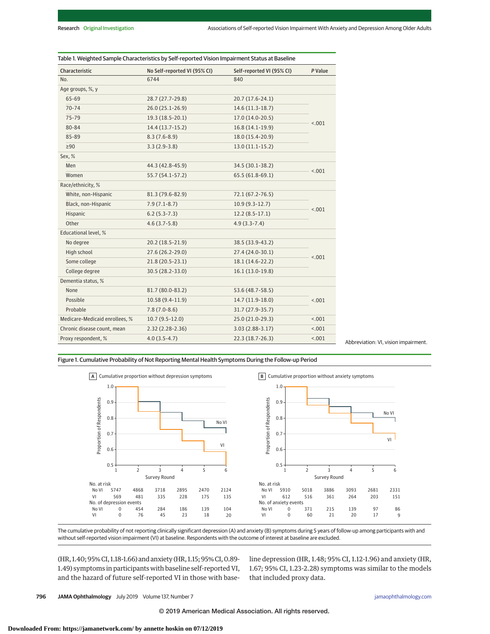| Characteristic                 | No Self-reported VI (95% CI) | Self-reported VI (95% CI) | P Value |  |
|--------------------------------|------------------------------|---------------------------|---------|--|
| No.                            | 6744                         | 840                       |         |  |
| Age groups, %, y               |                              |                           |         |  |
| 65-69                          | 28.7 (27.7-29.8)             | 20.7 (17.6-24.1)          |         |  |
| $70 - 74$                      | $26.0(25.1-26.9)$            | 14.6 (11.3-18.7)          | < .001  |  |
| 75-79                          | 19.3 (18.5-20.1)             | 17.0 (14.0-20.5)          |         |  |
| 80-84                          | 14.4 (13.7-15.2)             | 16.8 (14.1-19.9)          |         |  |
| 85-89                          | $8.3(7.6-8.9)$               | 18.0 (15.4-20.9)          |         |  |
| $\geq 90$                      | $3.3(2.9-3.8)$               | $13.0(11.1-15.2)$         |         |  |
| Sex, %                         |                              |                           |         |  |
| Men                            | 44.3 (42.8-45.9)             | 34.5 (30.1-38.2)          | < .001  |  |
| Women                          | 55.7 (54.1-57.2)             | 65.5 (61.8-69.1)          |         |  |
| Race/ethnicity, %              |                              |                           |         |  |
| White, non-Hispanic            | 81.3 (79.6-82.9)             | 72.1 (67.2-76.5)          | < .001  |  |
| Black, non-Hispanic            | $7.9(7.1-8.7)$               | $10.9(9.3-12.7)$          |         |  |
| Hispanic                       | $6.2(5.3-7.3)$               | $12.2(8.5-17.1)$          |         |  |
| Other                          | $4.6(3.7-5.8)$               | $4.9(3.3-7.4)$            |         |  |
| Educational level, %           |                              |                           |         |  |
| No degree                      | 20.2 (18.5-21.9)             | 38.5 (33.9-43.2)          |         |  |
| High school                    | 27.6 (26.2-29.0)             | 27.4 (24.0-30.1)          |         |  |
| Some college                   | 21.8 (20.5-23.1)             | 18.1 (14.6-22.2)          | < .001  |  |
| College degree                 | 30.5 (28.2-33.0)             | 16.1 (13.0-19.8)          |         |  |
| Dementia status, %             |                              |                           |         |  |
| None                           | 81.7 (80.0-83.2)             | 53.6 (48.7-58.5)          |         |  |
| Possible                       | $10.58(9.4-11.9)$            | 14.7 (11.9-18.0)          | < .001  |  |
| Probable                       | $7.8(7.0-8.6)$               | 31.7 (27.9-35.7)          |         |  |
| Medicare-Medicaid enrollees, % | $10.7(9.5-12.0)$             | 25.0 (21.0-29.3)          | < .001  |  |
| Chronic disease count, mean    | $2.32(2.28-2.36)$            | $3.03(2.88-3.17)$         | < .001  |  |
| Proxy respondent, %            | $4.0(3.5-4.7)$               | 22.3 (18.7-26.3)          | < .001  |  |

Abbreviation: VI, vision impairment.

Figure 1. Cumulative Probability of Not Reporting Mental Health Symptoms During the Follow-up Period



The cumulative probability of not reporting clinically significant depression (A) and anxiety (B) symptoms during 5 years of follow-up among participants with and without self-reported vision impairment (VI) at baseline. Respondents with the outcome of interest at baseline are excluded.

(HR, 1.40; 95% CI, 1.18-1.66) and anxiety (HR, 1.15; 95% CI, 0.89- 1.49) symptoms in participants with baseline self-reported VI, and the hazard of future self-reported VI in those with baseline depression (HR, 1.48; 95% CI, 1.12-1.96) and anxiety (HR, 1.67; 95% CI, 1.23-2.28) symptoms was similar to the models that included proxy data.

**796 JAMA Ophthalmology** July 2019 Volume 137, Number 7 **(Reprinted)** and the printed of the printed of the printed of the printed of the printed of the printed of the printed of the printed of the printed of the printed o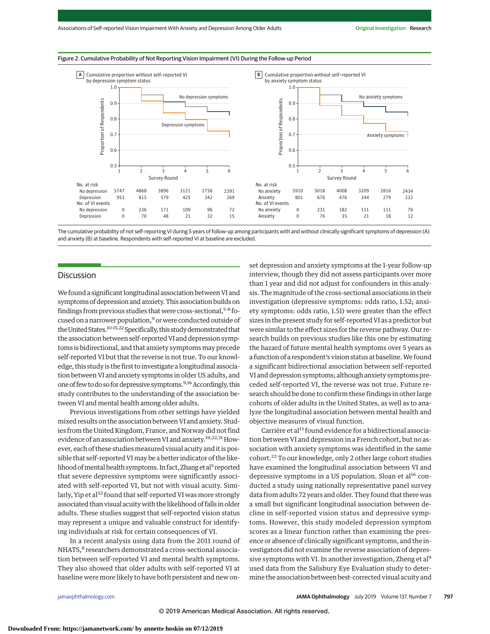#### Figure 2. Cumulative Probability of Not Reporting Vision Impairment (VI) During the Follow-up Period



The cumulative probability of not self-reporting VI during 5 years of follow-up among participants with and without clinically significant symptoms of depression (A) and anxiety (B) at baseline. Respondents with self-reported VI at baseline are excluded.

# Discussion

We found a significant longitudinal association between VI and symptoms of depression and anxiety. This association builds on findings from previous studies that were cross-sectional,  $5-8$  focused on a narrower population,<sup>9</sup> or were conducted outside of the United States.<sup>10-15,22</sup> Specifically, this study demonstrated that the association between self-reported VI and depression symptoms is bidirectional, and that anxiety symptoms may precede self-reported VI but that the reverse is not true. To our knowledge, this study is the first to investigate a longitudinal association between VI and anxiety symptoms in older US adults, and one of few to do so for depressive symptoms.  $9,16$  Accordingly, this study contributes to the understanding of the association between VI and mental health among older adults.

Previous investigations from other settings have yielded mixed results on the association between VI and anxiety. Studies from the United Kingdom, France, and Norway did not find evidence of an association between VI and anxiety.<sup>19,22,31</sup> However, each of these studies measured visual acuity and it is possible that self-reported VI may be a better indicator of the likelihood of mental health symptoms. In fact, Zhang et al<sup>5</sup> reported that severe depressive symptoms were significantly associated with self-reported VI, but not with visual acuity. Similarly, Yip et al<sup>32</sup> found that self-reported VI was more strongly associated than visual acuity with the likelihood of falls in older adults. These studies suggest that self-reported vision status may represent a unique and valuable construct for identifying individuals at risk for certain consequences of VI.

In a recent analysis using data from the 2011 round of NHATS,<sup>8</sup> researchers demonstrated a cross-sectional association between self-reported VI and mental health symptoms. They also showed that older adults with self-reported VI at baseline were more likely to have both persistent and new on-

set depression and anxiety symptoms at the 1-year follow-up interview, though they did not assess participants over more than 1 year and did not adjust for confounders in this analysis. The magnitude of the cross-sectional associations in their investigation (depressive symptoms: odds ratio, 1.52; anxiety symptoms: odds ratio, 1.51) were greater than the effect sizes in the present study for self-reported VI as a predictor but were similar to the effect sizes for the reverse pathway. Our research builds on previous studies like this one by estimating the hazard of future mental health symptoms over 5 years as a function of a respondent's vision status at baseline. We found a significant bidirectional association between self-reported VI and depression symptoms; although anxiety symptoms preceded self-reported VI, the reverse was not true. Future research should be done to confirm these findings in other large cohorts of older adults in the United States, as well as to analyze the longitudinal association between mental health and objective measures of visual function.

Carrière et al<sup>13</sup> found evidence for a bidirectional association between VI and depression in a French cohort, but no association with anxiety symptoms was identified in the same cohort.<sup>22</sup> To our knowledge, only 2 other large cohort studies have examined the longitudinal association between VI and depressive symptoms in a US population. Sloan et al<sup>16</sup> conducted a study using nationally representative panel survey data from adults 72 years and older. They found that there was a small but significant longitudinal association between decline in self-reported vision status and depressive symptoms. However, this study modeled depression symptom scores as a linear function rather than examining the presence or absence of clinically significant symptoms, and the investigators did not examine the reverse association of depressive symptoms with VI. In another investigation, Zheng et al<sup>9</sup> used data from the Salisbury Eye Evaluation study to determine the association between best-corrected visual acuity and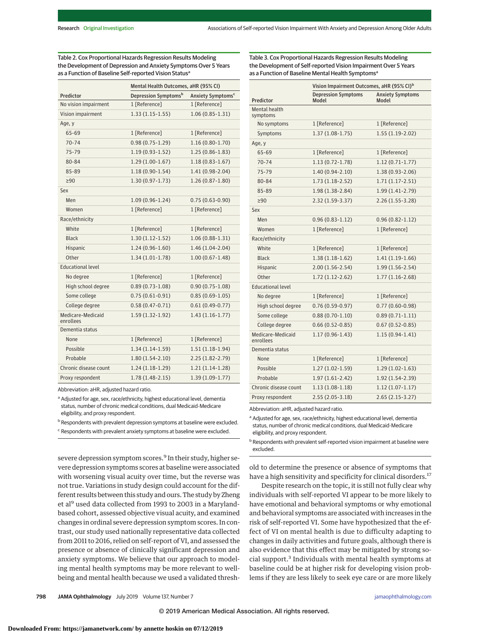|                          | Mental Health Outcomes, aHR (95% CI)                              |                     |
|--------------------------|-------------------------------------------------------------------|---------------------|
| Predictor                | Depression Symptoms <sup>b</sup><br>Anxiety Symptoms <sup>c</sup> |                     |
| No vision impairment     | 1 [Reference]                                                     | 1 [Reference]       |
| Vision impairment        | $1.33(1.15-1.55)$                                                 | $1.06(0.85 - 1.31)$ |
| Age, y                   |                                                                   |                     |
| 65-69                    | 1 [Reference]                                                     | 1 [Reference]       |
| $70 - 74$                | $0.98(0.75 - 1.29)$                                               | $1.16(0.80-1.70)$   |
| 75-79                    | $1.19(0.93-1.52)$                                                 | $1.25(0.86 - 1.83)$ |
| 80-84                    | $1.29(1.00-1.67)$                                                 | $1.18(0.83 - 1.67)$ |
| 85-89                    | $1.18(0.90-1.54)$                                                 | $1.41(0.98-2.04)$   |
| $\geq 90$                | $1.30(0.97 - 1.73)$                                               | $1.26(0.87 - 1.80)$ |
| Sex                      |                                                                   |                     |
| Men                      | $1.09(0.96 - 1.24)$                                               | $0.75(0.63 - 0.90)$ |
| Women                    | 1 [Reference]                                                     | 1 [Reference]       |
| Race/ethnicity           |                                                                   |                     |
| White                    | 1 [Reference]                                                     | 1 [Reference]       |
| <b>Black</b>             | $1.30(1.12-1.52)$                                                 | $1.06(0.88-1.31)$   |
| Hispanic                 | $1.24(0.96-1.60)$                                                 | $1.46(1.04-2.04)$   |
| Other                    | $1.34(1.01-1.78)$                                                 | $1.00(0.67 - 1.48)$ |
| <b>Educational level</b> |                                                                   |                     |
| No degree                | 1 [Reference]                                                     | 1 [Reference]       |
| High school degree       | $0.89(0.73 - 1.08)$                                               | $0.90(0.75 - 1.08)$ |
| Some college             | $0.75(0.61-0.91)$                                                 | $0.85(0.69-1.05)$   |
| College degree           | $0.58(0.47 - 0.71)$                                               | $0.61(0.49-0.77)$   |
| Medicare-Medicaid        | $1.59(1.32-1.92)$                                                 | $1.43(1.16-1.77)$   |
| enrollees                |                                                                   |                     |
| Dementia status          |                                                                   |                     |
| None                     | 1 [Reference]                                                     | 1 [Reference]       |
| Possible                 | $1.34(1.14-1.59)$                                                 | $1.51(1.18-1.94)$   |
| Probable                 | $1.80(1.54-2.10)$                                                 | $2.25(1.82 - 2.79)$ |
| Chronic disease count    | $1.24(1.18-1.29)$                                                 | $1.21(1.14-1.28)$   |
| Proxy respondent         | $1.78(1.48-2.15)$                                                 | $1.39(1.09-1.77)$   |

Table 2. Cox Proportional Hazards Regression Results Modeling the Development of Depression and Anxiety Symptoms Over 5 Years as a Function of Baseline Self-reported Vision Status<sup>a</sup>

Abbreviation: aHR, adjusted hazard ratio.

a Adjusted for age, sex, race/ethnicity, highest educational level, dementia status, number of chronic medical conditions, dual Medicaid-Medicare eligibility, and proxy respondent.

b Respondents with prevalent depression symptoms at baseline were excluded.

<sup>c</sup> Respondents with prevalent anxiety symptoms at baseline were excluded.

severe depression symptom scores.<sup>9</sup> In their study, higher severe depression symptoms scores at baseline were associated with worsening visual acuity over time, but the reverse was not true. Variations in study design could account for the different results between this study and ours. The study by Zheng et al<sup>9</sup> used data collected from 1993 to 2003 in a Marylandbased cohort, assessed objective visual acuity, and examined changes in ordinal severe depression symptom scores. In contrast, our study used nationally representative data collected from 2011 to 2016, relied on self-report of VI, and assessed the presence or absence of clinically significant depression and anxiety symptoms. We believe that our approach to modeling mental health symptoms may be more relevant to wellbeing and mental health because we used a validated thresh-

Table 3. Cox Proportional Hazards Regression Results Modeling the Development of Self-reported Vision Impairment Over 5 Years as a Function of Baseline Mental Health Symptoms<sup>a</sup>

|                |                           | Vision Impairment Outcomes, aHR (95% CI) <sup>b</sup> |                                         |  |
|----------------|---------------------------|-------------------------------------------------------|-----------------------------------------|--|
| Predictor      |                           | <b>Depression Symptoms</b><br>Model                   | <b>Anxiety Symptoms</b><br><b>Model</b> |  |
|                | Mental health<br>symptoms |                                                       |                                         |  |
|                | No symptoms               | 1 [Reference]                                         | 1 [Reference]                           |  |
|                | Symptoms                  | $1.37(1.08-1.75)$                                     | $1.55(1.19-2.02)$                       |  |
| Age, y         |                           |                                                       |                                         |  |
|                | 65-69                     | 1 [Reference]                                         | 1 [Reference]                           |  |
|                | $70 - 74$                 | $1.13(0.72 - 1.78)$                                   | $1.12(0.71-1.77)$                       |  |
|                | $75 - 79$                 | $1.40(0.94-2.10)$                                     | 1.38 (0.93-2.06)                        |  |
|                | 80-84                     | $1.73(1.18-2.52)$                                     | $1.71(1.17-2.51)$                       |  |
|                | 85-89                     | $1.98(1.38-2.84)$                                     | $1.99(1.41-2.79)$                       |  |
| 290            |                           | $2.32(1.59-3.37)$                                     | $2.26(1.55-3.28)$                       |  |
| Sex            |                           |                                                       |                                         |  |
| Men            |                           | $0.96(0.83-1.12)$                                     | $0.96(0.82 - 1.12)$                     |  |
|                | Women                     | 1 [Reference]                                         | 1 [Reference]                           |  |
| Race/ethnicity |                           |                                                       |                                         |  |
|                | White                     | 1 [Reference]                                         | 1 [Reference]                           |  |
|                | <b>Black</b>              | $1.38(1.18-1.62)$                                     | $1.41(1.19-1.66)$                       |  |
|                | Hispanic                  | $2.00(1.56 - 2.54)$                                   | $1.99(1.56 - 2.54)$                     |  |
|                | Other                     | $1.72(1.12-2.62)$                                     | $1.77(1.16-2.68)$                       |  |
|                | <b>Educational level</b>  |                                                       |                                         |  |
|                | No degree                 | 1 [Reference]                                         | 1 [Reference]                           |  |
|                | High school degree        | $0.76(0.59-0.97)$                                     | $0.77(0.60-0.98)$                       |  |
|                | Some college              | $0.88(0.70-1.10)$                                     | $0.89(0.71-1.11)$                       |  |
|                | College degree            | $0.66(0.52-0.85)$                                     | $0.67(0.52 - 0.85)$                     |  |
| enrollees      | Medicare-Medicaid         | $1.17(0.96 - 1.43)$                                   | $1.15(0.94-1.41)$                       |  |
|                | Dementia status           |                                                       |                                         |  |
|                | None                      | 1 [Reference]                                         | 1 [Reference]                           |  |
|                | Possible                  | $1.27(1.02 - 1.59)$                                   | $1.29(1.02 - 1.63)$                     |  |
|                | Probable                  | $1.97(1.61-2.42)$                                     | 1.92 (1.54-2.39)                        |  |
|                | Chronic disease count     | $1.13(1.08-1.18)$                                     | $1.12(1.07-1.17)$                       |  |
|                | Proxy respondent          | $2.55(2.05-3.18)$                                     | $2.65(2.15-3.27)$                       |  |

Abbreviation: aHR, adjusted hazard ratio.

<sup>a</sup> Adjusted for age, sex, race/ethnicity, highest educational level, dementia status, number of chronic medical conditions, dual Medicaid-Medicare eligibility, and proxy respondent.

**b** Respondents with prevalent self-reported vision impairment at baseline were excluded.

old to determine the presence or absence of symptoms that have a high sensitivity and specificity for clinical disorders.<sup>17</sup>

Despite research on the topic, it is still not fully clear why individuals with self-reported VI appear to be more likely to have emotional and behavioral symptoms or why emotional and behavioral symptoms are associated with increases in the risk of self-reported VI. Some have hypothesized that the effect of VI on mental health is due to difficulty adapting to changes in daily activities and future goals, although there is also evidence that this effect may be mitigated by strong social support.<sup>3</sup> Individuals with mental health symptoms at baseline could be at higher risk for developing vision problems if they are less likely to seek eye care or are more likely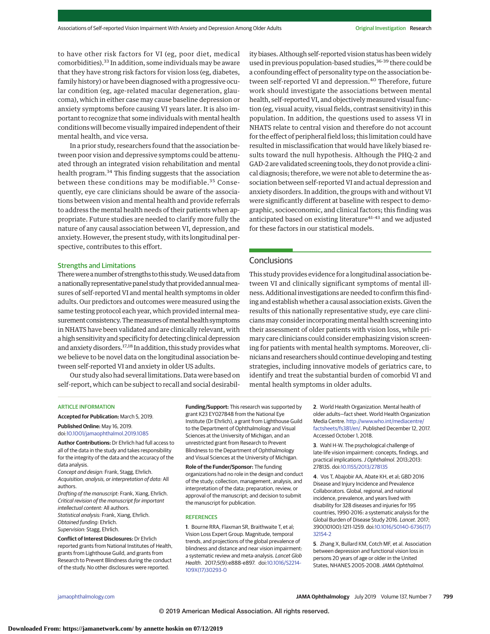to have other risk factors for VI (eg, poor diet, medical comorbidities).33 In addition, some individuals may be aware that they have strong risk factors for vision loss (eg, diabetes, family history) or have been diagnosed with a progressive ocular condition (eg, age-related macular degeneration, glaucoma), which in either case may cause baseline depression or anxiety symptoms before causing VI years later. It is also important to recognize that some individuals with mental health conditions will become visually impaired independent of their mental health, and vice versa.

In a prior study, researchers found that the association between poor vision and depressive symptoms could be attenuated through an integrated vision rehabilitation and mental health program.<sup>34</sup> This finding suggests that the association between these conditions may be modifiable.<sup>35</sup> Consequently, eye care clinicians should be aware of the associations between vision and mental health and provide referrals to address the mental health needs of their patients when appropriate. Future studies are needed to clarify more fully the nature of any causal association between VI, depression, and anxiety. However, the present study, with its longitudinal perspective, contributes to this effort.

## Strengths and Limitations

There were a number of strengths to this study. We used data from a nationally representative panel study that provided annual measures of self-reported VI and mental health symptoms in older adults. Our predictors and outcomes were measured using the same testing protocol each year, which provided internal measurement consistency. The measures of mental health symptoms in NHATS have been validated and are clinically relevant, with a high sensitivity and specificity for detecting clinical depression and anxiety disorders.17,18 In addition, this study provides what we believe to be novel data on the longitudinal association between self-reported VI and anxiety in older US adults.

Our study also had several limitations. Data were based on self-report, which can be subject to recall and social desirability biases. Although self-reported vision status has been widely used in previous population-based studies,<sup>36-39</sup> there could be a confounding effect of personality type on the association between self-reported VI and depression.<sup>40</sup> Therefore, future work should investigate the associations between mental health, self-reported VI, and objectivelymeasured visual function (eg, visual acuity, visual fields, contrast sensitivity) in this population. In addition, the questions used to assess VI in NHATS relate to central vision and therefore do not account for the effect of peripheral field loss; this limitation could have resulted in misclassification that would have likely biased results toward the null hypothesis. Although the PHQ-2 and GAD-2 are validated screening tools, they do not provide a clinical diagnosis; therefore, we were not able to determine the association between self-reported VI and actual depression and anxiety disorders. In addition, the groups with and without VI were significantly different at baseline with respect to demographic, socioeconomic, and clinical factors; this finding was anticipated based on existing literature $41-43$  and we adjusted for these factors in our statistical models.

# **Conclusions**

This study provides evidence for a longitudinal association between VI and clinically significant symptoms of mental illness. Additional investigations are needed to confirm this finding and establish whether a causal association exists. Given the results of this nationally representative study, eye care clinicians may consider incorporating mental health screening into their assessment of older patients with vision loss, while primary care clinicians could consider emphasizing vision screening for patients with mental health symptoms. Moreover, clinicians and researchers should continue developing and testing strategies, including innovative models of geriatrics care, to identify and treat the substantial burden of comorbid VI and mental health symptoms in older adults.

## ARTICLE INFORMATION

**Accepted for Publication:** March 5, 2019. **Published Online:** May 16, 2019.

doi[:10.1001/jamaophthalmol.2019.1085](https://jama.jamanetwork.com/article.aspx?doi=10.1001/jamaophthalmol.2019.1085&utm_campaign=articlePDF%26utm_medium=articlePDFlink%26utm_source=articlePDF%26utm_content=jamaophthalmol.2019.1085)

**Author Contributions:** Dr Ehrlich had full access to all of the data in the study and takes responsibility for the integrity of the data and the accuracy of the data analysis.

Concept and design: Frank, Stagg, Ehrlich. Acquisition, analysis, or interpretation of data: All authors.

Drafting of the manuscript: Frank, Xiang, Ehrlich. Critical revision of the manuscript for important intellectual content: All authors. Statistical analysis: Frank, Xiang, Ehrlich. Obtained funding: Ehrlich. Supervision: Stagg, Ehrlich.

**Conflict of Interest Disclosures:** Dr Ehrlich reported grants from National Institutes of Health, grants from Lighthouse Guild, and grants from Research to Prevent Blindness during the conduct of the study. No other disclosures were reported.

**Funding/Support:** This research was supported by grant K23 EY027848 from the National Eye Institute (Dr Ehrlich), a grant from Lighthouse Guild to the Department of Ophthalmology and Visual Sciences at the University of Michigan, and an unrestricted grant from Research to Prevent Blindness to the Department of Ophthalmology and Visual Sciences at the University of Michigan.

**Role of the Funder/Sponsor:** The funding organizations had no role in the design and conduct of the study; collection, management, analysis, and interpretation of the data; preparation, review, or approval of the manuscript; and decision to submit the manuscript for publication.

#### **REFERENCES**

**1**. Bourne RRA, Flaxman SR, Braithwaite T, et al; Vision Loss Expert Group. Magnitude, temporal trends, and projections of the global prevalence of blindness and distance and near vision impairment: a systematic review and meta-analysis. Lancet Glob Health. 2017;5(9):e888-e897. doi[:10.1016/S2214-](https://dx.doi.org/10.1016/S2214-109X(17)30293-0) [109X\(17\)30293-0](https://dx.doi.org/10.1016/S2214-109X(17)30293-0)

**2**. World Health Organization. Mental health of older adults—fact sheet. World Health Organization Media Centre. [http://www.who.int/mediacentre/](http://www.who.int/mediacentre/factsheets/fs381/en/) [factsheets/fs381/en/.](http://www.who.int/mediacentre/factsheets/fs381/en/) Published December 12, 2017. Accessed October 1, 2018.

**3**. Wahl H-W. The psychological challenge of late-life vision impairment: concepts, findings, and practical implications.J Ophthalmol. 2013;2013: 278135. doi[:10.1155/2013/278135](https://dx.doi.org/10.1155/2013/278135)

**4**. Vos T, Abajobir AA, Abate KH, et al; GBD 2016 Disease and Injury Incidence and Prevalence Collaborators. Global, regional, and national incidence, prevalence, and years lived with disability for 328 diseases and injuries for 195 countries, 1990-2016: a systematic analysis for the Global Burden of Disease Study 2016. Lancet. 2017; 390(10100):1211-1259. doi[:10.1016/S0140-6736\(17\)](https://dx.doi.org/10.1016/S0140-6736(17)32154-2) [32154-2](https://dx.doi.org/10.1016/S0140-6736(17)32154-2)

**5**. Zhang X, Bullard KM, Cotch MF, et al. Association between depression and functional vision loss in persons 20 years of age or older in the United States, NHANES 2005-2008. JAMA Ophthalmol.